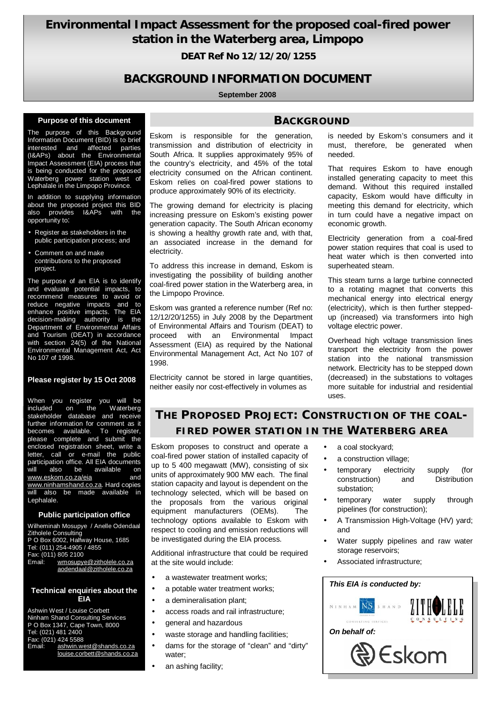# **Environmental Impact Assessment for the proposed coal-fired power station in the Waterberg area, Limpopo**

**DEAT Ref No 12/12/20/1255**

## **BACKGROUND INFORMATION DOCUMENT**

#### **September 2008**

#### **Purpose of this document**

The purpose of this Background Information Document (BID) is to brief interested and affected parties (I&APs) about the Environmental Impact Assessment (EIA) process that is being conducted for the proposed Waterberg power station west of Lephalale in the Limpopo Province.

In addition to supplying information about the proposed project this BID also provides I&APs with the opportunity to:

- Register as stakeholders in the public participation process; and
- Comment on and make contributions to the proposed project.

The purpose of an EIA is to identify and evaluate potential impacts, to recommend measures to avoid or reduce negative impacts and to enhance positive impacts. The EIA decision-making authority is the Department of Environmental Affairs and Tourism (DEAT) in accordance with section 24(5) of the National Environmental Management Act, Act No 107 of 1998.

#### **Please register by 15 Oct 2008**

When you register you will be<br>included on the Waterberg included on the Waterberg stakeholder database and receive further information for comment as it becomes available. To register, please complete and submit the enclosed registration sheet, write a letter, call or e-mail the public participation office. All EIA documents will also be available on [www.eskom.co.za/eia](http://www.eskom.co.za/eia) and [www.ninhamshand.co.za.](http://www.ninhamshand.co.za) Hard copies will also be made available in Lephalale.

#### **Public participation office**

Wilheminah Mosupye / Anelle Odendaal Zitholele Consulting P O Box 6002, Halfway House, 1685 Tel: (011) 254-4905 / 4855 Fax: (011) 805 2100 Email: [wmosupye@zitholele.co.za](mailto:wmosupye@zitholele.co.za) [aodendaal@zitholele.co.za](mailto:aodendaal@zitholele.co.za) 

#### **Technical enquiries about the EIA**

Ashwin West / Louise Corbett Ninham Shand Consulting Services P O Box 1347, Cape Town, 8000 Tel: (021) 481 2400 Fax: (021) 424 5588<br>Email: ashwin.w [ashwin.west@shands.co.za](mailto:ashwin.west@shands.co.za) [louise.corbett@shands.co.za](mailto:louise.corbett@shands.co.za)

# Eskom is responsible for the generation, transmission and distribution of electricity in South Africa. It supplies approximately 95% of

**BACKGROUND**

the country's electricity, and 45% of the total electricity consumed on the African continent. Eskom relies on coal-fired power stations to produce approximately 90% of its electricity.

The growing demand for electricity is placing increasing pressure on Eskom's existing power generation capacity. The South African economy is showing a healthy growth rate and, with that, an associated increase in the demand for electricity.

To address this increase in demand, Eskom is investigating the possibility of building another coal-fired power station in the Waterberg area, in the Limpopo Province.

Eskom was granted a reference number (Ref no: 12/12/20/1255) in July 2008 by the Department of Environmental Affairs and Tourism (DEAT) to proceed with an Environmental Impact Assessment (EIA) as required by the National Environmental Management Act, Act No 107 of 1998.

Electricity cannot be stored in large quantities, neither easily nor cost-effectively in volumes as

#### is needed by Eskom's consumers and it must, therefore, be generated when needed.

That requires Eskom to have enough installed generating capacity to meet this demand. Without this required installed capacity, Eskom would have difficulty in meeting this demand for electricity, which in turn could have a negative impact on economic growth.

Electricity generation from a coal-fired power station requires that coal is used to heat water which is then converted into superheated steam.

This steam turns a large turbine connected to a rotating magnet that converts this mechanical energy into electrical energy (electricity), which is then further steppedup (increased) via transformers into high voltage electric power.

Overhead high voltage transmission lines transport the electricity from the power station into the national transmission network. Electricity has to be stepped down (decreased) in the substations to voltages more suitable for industrial and residential uses.

# **THE PROPOSED PROJECT: CONSTRUCTION OF THE COAL-FIRED POWER STATION IN THE WATERBERG AREA**

Eskom proposes to construct and operate a coal-fired power station of installed capacity of up to 5 400 megawatt (MW), consisting of six units of approximately 900 MW each. The final station capacity and layout is dependent on the technology selected, which will be based on the proposals from the various original equipment manufacturers (OEMs). The technology options available to Eskom with respect to cooling and emission reductions will be investigated during the EIA process.

Additional infrastructure that could be required at the site would include:

- a wastewater treatment works;
- a potable water treatment works:
- a demineralisation plant;
- access roads and rail infrastructure;
- general and hazardous
- waste storage and handling facilities;
	- dams for the storage of "clean" and "dirty" water;
- an ashing facility;
- a coal stockyard;
- a construction village;
- temporary electricity supply (for construction) and Distribution substation;
- temporary water supply through pipelines (for construction);
- A Transmission High-Voltage (HV) yard; and
- Water supply pipelines and raw water storage reservoirs;
- Associated infrastructure;

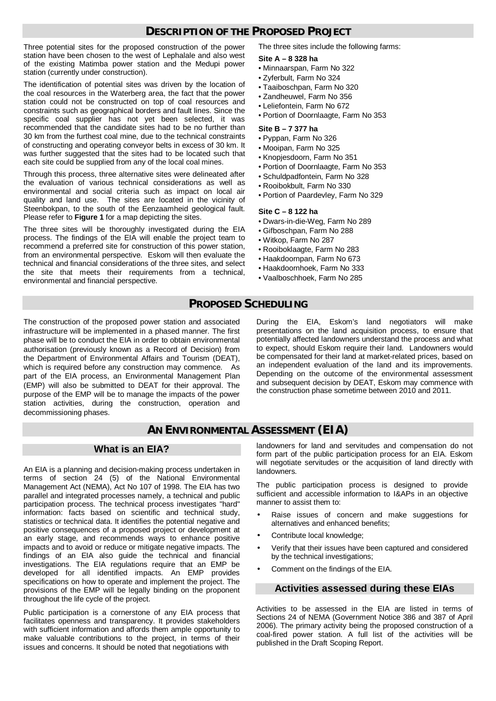### **DESCRIPTION OF THE PROPOSED PROJECT**

Three potential sites for the proposed construction of the power station have been chosen to the west of Lephalale and also west of the existing Matimba power station and the Medupi power station (currently under construction).

The identification of potential sites was driven by the location of the coal resources in the Waterberg area, the fact that the power station could not be constructed on top of coal resources and constraints such as geographical borders and fault lines. Since the specific coal supplier has not yet been selected, it was recommended that the candidate sites had to be no further than 30 km from the furthest coal mine, due to the technical constraints of constructing and operating conveyor belts in excess of 30 km. It was further suggested that the sites had to be located such that each site could be supplied from any of the local coal mines.

Through this process, three alternative sites were delineated after the evaluation of various technical considerations as well as environmental and social criteria such as impact on local air quality and land use. The sites are located in the vicinity of Steenbokpan, to the south of the Eenzaamheid geological fault. Please refer to **Figure 1** for a map depicting the sites.

The three sites will be thoroughly investigated during the EIA process. The findings of the EIA will enable the project team to recommend a preferred site for construction of this power station, from an environmental perspective. Eskom will then evaluate the technical and financial considerations of the three sites, and select the site that meets their requirements from a technical, environmental and financial perspective.

The three sites include the following farms:

#### **Site A – 8 328 ha**

- Minnaarspan, Farm No 322
- Zyferbult, Farm No 324
- Taaiboschpan, Farm No 320
- Zandheuwel, Farm No 356
- Leliefontein, Farm No 672
- Portion of Doornlaagte, Farm No 353

#### **Site B – 7 377 ha**

- Pyppan, Farm No 326
- Mooipan, Farm No 325
- Knopjesdoorn, Farm No 351
- Portion of Doornlaagte, Farm No 353
- Schuldpadfontein, Farm No 328
- Rooibokbult, Farm No 330
- Portion of Paardevley, Farm No 329

#### **Site C – 8 122 ha**

- Dwars-in-die-Weg, Farm No 289
- Gifboschpan, Farm No 288
- Witkop, Farm No 287
- Rooiboklaagte, Farm No 283
- Haakdoornpan, Farm No 673
- Haakdoornhoek, Farm No 333
- Vaalboschhoek, Farm No 285

### **PROPOSED SCHEDULING**

The construction of the proposed power station and associated infrastructure will be implemented in a phased manner. The first phase will be to conduct the EIA in order to obtain environmental authorisation (previously known as a Record of Decision) from the Department of Environmental Affairs and Tourism (DEAT), which is required before any construction may commence. As part of the EIA process, an Environmental Management Plan (EMP) will also be submitted to DEAT for their approval. The purpose of the EMP will be to manage the impacts of the power station activities, during the construction, operation and decommissioning phases.

During the EIA, Eskom's land negotiators will make presentations on the land acquisition process, to ensure that potentially affected landowners understand the process and what to expect, should Eskom require their land. Landowners would be compensated for their land at market-related prices, based on an independent evaluation of the land and its improvements. Depending on the outcome of the environmental assessment and subsequent decision by DEAT, Eskom may commence with the construction phase sometime between 2010 and 2011.

### **AN ENVIRONMENTAL ASSESSMENT (EIA)**

### **What is an EIA?**

An EIA is a planning and decision-making process undertaken in terms of section 24 (5) of the National Environmental Management Act (NEMA), Act No 107 of 1998. The EIA has two parallel and integrated processes namely, a technical and public participation process. The technical process investigates "hard" information: facts based on scientific and technical study, statistics or technical data. It identifies the potential negative and positive consequences of a proposed project or development at an early stage, and recommends ways to enhance positive impacts and to avoid or reduce or mitigate negative impacts. The findings of an EIA also guide the technical and financial investigations. The EIA regulations require that an EMP be developed for all identified impacts. An EMP provides specifications on how to operate and implement the project. The provisions of the EMP will be legally binding on the proponent throughout the life cycle of the project.

Public participation is a cornerstone of any EIA process that facilitates openness and transparency. It provides stakeholders with sufficient information and affords them ample opportunity to make valuable contributions to the project, in terms of their issues and concerns. It should be noted that negotiations with

landowners for land and servitudes and compensation do not form part of the public participation process for an EIA. Eskom will negotiate servitudes or the acquisition of land directly with landowners.

The public participation process is designed to provide sufficient and accessible information to I&APs in an objective manner to assist them to:

- Raise issues of concern and make suggestions for alternatives and enhanced benefits;
- Contribute local knowledge:
- Verify that their issues have been captured and considered by the technical investigations;
- Comment on the findings of the EIA.

#### **Activities assessed during these EIAs**

Activities to be assessed in the EIA are listed in terms of Sections 24 of NEMA (Government Notice 386 and 387 of April 2006). The primary activity being the proposed construction of a coal-fired power station. A full list of the activities will be published in the Draft Scoping Report.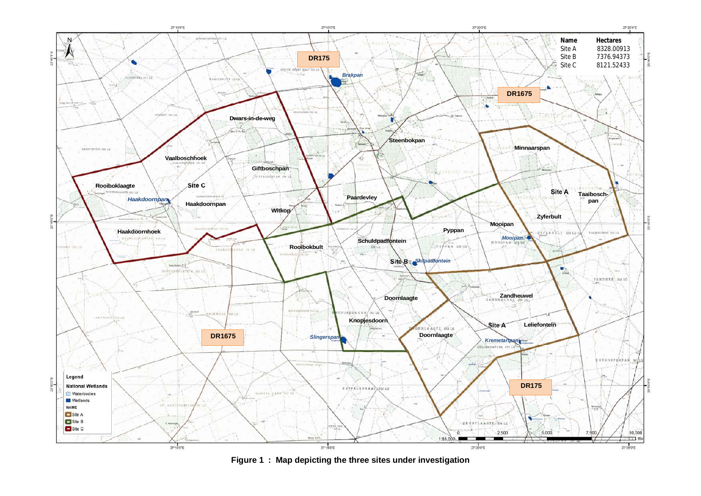

**Figure 1 : Map depicting the three sites under investigation**